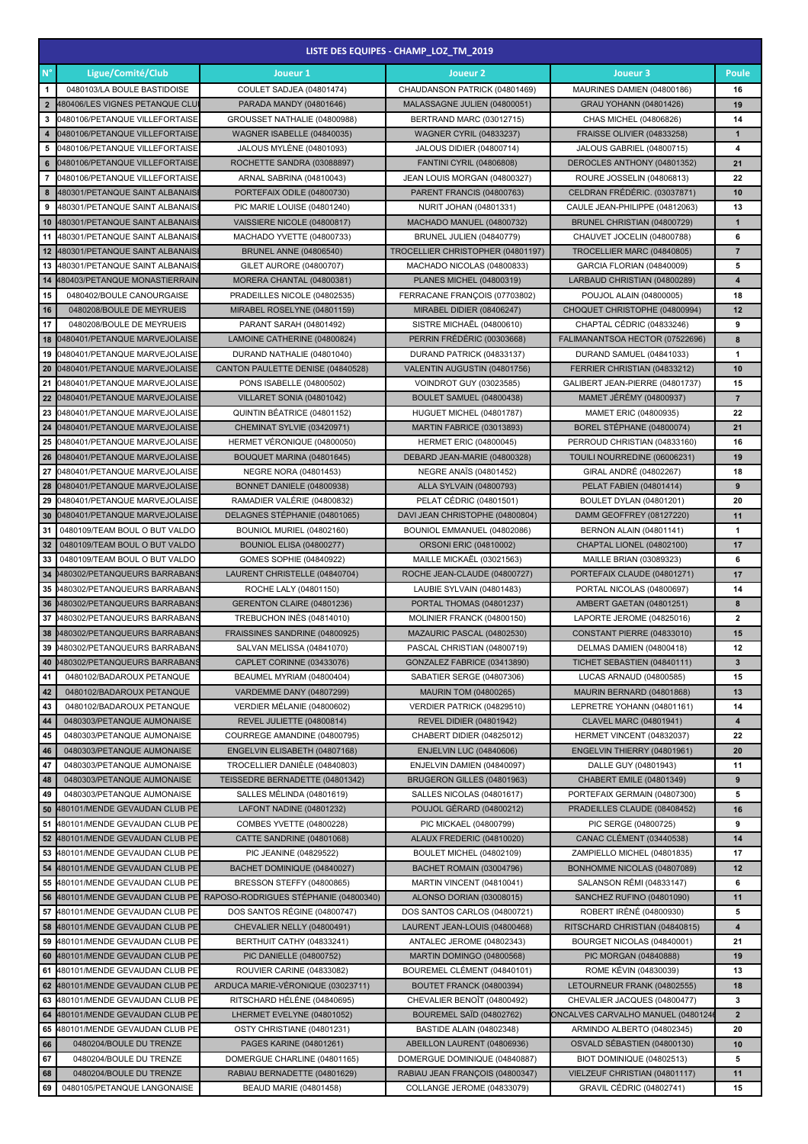|                      | LISTE DES EQUIPES - CHAMP LOZ TM 2019                               |                                                              |                                                                 |                                                          |                         |  |  |  |
|----------------------|---------------------------------------------------------------------|--------------------------------------------------------------|-----------------------------------------------------------------|----------------------------------------------------------|-------------------------|--|--|--|
| $\mathsf{N}^{\circ}$ | Ligue/Comité/Club                                                   | Joueur 1                                                     | Joueur <sub>2</sub>                                             | Joueur 3                                                 | Poule                   |  |  |  |
| $\mathbf{1}$         | 0480103/LA BOULE BASTIDOISE                                         | COULET SADJEA (04801474)                                     | CHAUDANSON PATRICK (04801469)                                   | MAURINES DAMIEN (04800186)                               | 16                      |  |  |  |
| $\overline{2}$       | 480406/LES VIGNES PETANQUE CLU                                      | PARADA MANDY (04801646)                                      | MALASSAGNE JULIEN (04800051)                                    | <b>GRAU YOHANN (04801426)</b>                            | 19                      |  |  |  |
| 3                    | 0480106/PETANQUE VILLEFORTAISE                                      | GROUSSET NATHALIE (04800988)                                 | BERTRAND MARC (03012715)                                        | CHAS MICHEL (04806826)                                   | 14                      |  |  |  |
| 4                    | 0480106/PETANQUE VILLEFORTAISE                                      | <b>WAGNER ISABELLE (04840035)</b>                            | <b>WAGNER CYRIL (04833237)</b>                                  | <b>FRAISSE OLIVIER (04833258)</b>                        | $\mathbf{1}$            |  |  |  |
| 5                    | 0480106/PETANQUE VILLEFORTAISE                                      | <b>JALOUS MYLÈNE (04801093)</b>                              | <b>JALOUS DIDIER (04800714)</b>                                 | JALOUS GABRIEL (04800715)                                | 4                       |  |  |  |
| 6                    | 0480106/PETANQUE VILLEFORTAISE                                      | ROCHETTE SANDRA (03088897)                                   | <b>FANTINI CYRIL (04806808)</b>                                 | DEROCLES ANTHONY (04801352)                              | 21                      |  |  |  |
| 7                    | 0480106/PETANQUE VILLEFORTAISE                                      | ARNAL SABRINA (04810043)                                     | JEAN LOUIS MORGAN (04800327)                                    | ROURE JOSSELIN (04806813)                                | 22                      |  |  |  |
| 8                    | 480301/PETANQUE SAINT ALBANAIS                                      | PORTEFAIX ODILE (04800730)                                   | PARENT FRANCIS (04800763)                                       | CELDRAN FRÉDÉRIC. (03037871)                             | 10                      |  |  |  |
| 9                    | 480301/PETANQUE SAINT ALBANAIS                                      | PIC MARIE LOUISE (04801240)                                  | NURIT JOHAN (04801331)                                          | CAULE JEAN-PHILIPPE (04812063)                           | 13                      |  |  |  |
| 10                   | 480301/PETANQUE SAINT ALBANAIS                                      | VAISSIERE NICOLE (04800817)                                  | MACHADO MANUEL (04800732)                                       | BRUNEL CHRISTIAN (04800729)                              | $\mathbf{1}$            |  |  |  |
| 11                   | 480301/PETANQUE SAINT ALBANAIS                                      | MACHADO YVETTE (04800733)                                    | <b>BRUNEL JULIEN (04840779)</b>                                 | CHAUVET JOCELIN (04800788)                               | 6<br>$\overline{7}$     |  |  |  |
| 13                   | 12 480301/PETANQUE SAINT ALBANAIS<br>480301/PETANQUE SAINT ALBANAIS | <b>BRUNEL ANNE (04806540)</b><br>GILET AURORE (04800707)     | TROCELLIER CHRISTOPHER (04801197)<br>MACHADO NICOLAS (04800833) | TROCELLIER MARC (04840805)<br>GARCIA FLORIAN (04840009)  | 5                       |  |  |  |
| 14                   | 480403/PETANQUE MONASTIERRAIN                                       | MORERA CHANTAL (04800381)                                    | <b>PLANES MICHEL (04800319)</b>                                 | LARBAUD CHRISTIAN (04800289)                             | $\overline{\mathbf{4}}$ |  |  |  |
| 15                   | 0480402/BOULE CANOURGAISE                                           | PRADEILLES NICOLE (04802535)                                 | FERRACANE FRANÇOIS (07703802)                                   | POUJOL ALAIN (04800005)                                  | 18                      |  |  |  |
| 16                   | 0480208/BOULE DE MEYRUEIS                                           | MIRABEL ROSELYNE (04801159)                                  | MIRABEL DIDIER (08406247)                                       | CHOQUET CHRISTOPHE (04800994)                            | 12                      |  |  |  |
| 17                   | 0480208/BOULE DE MEYRUEIS                                           | PARANT SARAH (04801492)                                      | SISTRE MICHAËL (04800610)                                       | CHAPTAL CÉDRIC (04833246)                                | 9                       |  |  |  |
| 18                   | 0480401/PETANQUE MARVEJOLAISE                                       | LAMOINE CATHERINE (04800824)                                 | PERRIN FRÉDÉRIC (00303668)                                      | FALIMANANTSOA HECTOR (07522696)                          | 8                       |  |  |  |
| 19                   | 0480401/PETANQUE MARVEJOLAISE                                       | DURAND NATHALIE (04801040)                                   | DURAND PATRICK (04833137)                                       | DURAND SAMUEL (04841033)                                 | 1                       |  |  |  |
| 20                   | 0480401/PETANQUE MARVEJOLAISE                                       | CANTON PAULETTE DENISE (04840528)                            | VALENTIN AUGUSTIN (04801756)                                    | FERRIER CHRISTIAN (04833212)                             | 10                      |  |  |  |
| 21                   | 0480401/PETANQUE MARVEJOLAISE                                       | PONS ISABELLE (04800502)                                     | VOINDROT GUY (03023585)                                         | GALIBERT JEAN-PIERRE (04801737)                          | 15                      |  |  |  |
|                      | 22 0480401/PETANQUE MARVEJOLAISE                                    | VILLARET SONIA (04801042)                                    | BOULET SAMUEL (04800438)                                        | <b>MAMET JEREMY (04800937)</b>                           | $\overline{7}$          |  |  |  |
|                      | 23 0480401/PETANQUE MARVEJOLAISE                                    | QUINTIN BÉATRICE (04801152)                                  | HUGUET MICHEL (04801787)                                        | MAMET ERIC (04800935)                                    | 22                      |  |  |  |
|                      | 24 0480401/PETANQUE MARVEJOLAISE                                    | CHEMINAT SYLVIE (03420971)                                   | MARTIN FABRICE (03013893)                                       | BOREL STÉPHANE (04800074)                                | 21                      |  |  |  |
| 25                   | 0480401/PETANQUE MARVEJOLAISE                                       | HERMET VERONIQUE (04800050)                                  | <b>HERMET ERIC (04800045)</b>                                   | PERROUD CHRISTIAN (04833160)                             | 16                      |  |  |  |
| 26                   | 0480401/PETANQUE MARVEJOLAISE                                       | BOUQUET MARINA (04801645)                                    | DEBARD JEAN-MARIE (04800328)                                    | TOUILI NOURREDINE (06006231)                             | 19                      |  |  |  |
| 27                   | 0480401/PETANQUE MARVEJOLAISE                                       | NEGRE NORA (04801453)                                        | <b>NEGRE ANAIS (04801452)</b>                                   | GIRAL ANDRÉ (04802267)                                   | 18                      |  |  |  |
| 28                   | 0480401/PETANQUE MARVEJOLAISE                                       | BONNET DANIELE (04800938)                                    | ALLA SYLVAIN (04800793)                                         | PELAT FABIEN (04801414)                                  | 9                       |  |  |  |
| 29                   | 0480401/PETANQUE MARVEJOLAISE                                       | RAMADIER VALÉRIE (04800832)                                  | PELAT CÉDRIC (04801501)                                         | <b>BOULET DYLAN (04801201)</b>                           | 20                      |  |  |  |
| 30                   | 0480401/PETANQUE MARVEJOLAISE                                       | DELAGNES STÉPHANIE (04801065)                                | DAVI JEAN CHRISTOPHE (04800804)                                 | DAMM GEOFFREY (08127220)                                 | 11                      |  |  |  |
| 31<br>32             | 0480109/TEAM BOUL O BUT VALDO<br>0480109/TEAM BOUL O BUT VALDO      | BOUNIOL MURIEL (04802160)                                    | BOUNIOL EMMANUEL (04802086)                                     | <b>BERNON ALAIN (04801141)</b>                           | 1                       |  |  |  |
| 33                   | 0480109/TEAM BOUL O BUT VALDO                                       | BOUNIOL ELISA (04800277)<br>GOMES SOPHIE (04840922)          | ORSONI ERIC (04810002)<br>MAILLE MICKAËL (03021563)             | CHAPTAL LIONEL (04802100)<br>MAILLE BRIAN (03089323)     | 17<br>6                 |  |  |  |
|                      | 34 0480302/PETANQUEURS BARRABANS                                    | LAURENT CHRISTELLE (04840704)                                | ROCHE JEAN-CLAUDE (04800727)                                    | PORTEFAIX CLAUDE (04801271)                              | 17                      |  |  |  |
|                      | 35 0480302/PETANQUEURS BARRABANS                                    | ROCHE LALY (04801150)                                        | LAUBIE SYLVAIN (04801483)                                       | PORTAL NICOLAS (04800697)                                | 14                      |  |  |  |
|                      | 36 0480302/PETANQUEURS BARRABANS                                    | GERENTON CLAIRE (04801236)                                   | PORTAL THOMAS (04801237)                                        | AMBERT GAETAN (04801251)                                 | 8                       |  |  |  |
| 37                   | 0480302/PETANQUEURS BARRABANS                                       | TREBUCHON INÉS (04814010)                                    | MOLINIER FRANCK (04800150)                                      | LAPORTE JEROME (04825016)                                | $\mathbf{2}$            |  |  |  |
|                      | 38 0480302/PETANQUEURS BARRABANS                                    | FRAISSINES SANDRINE (04800925)                               | MAZAURIC PASCAL (04802530)                                      | CONSTANT PIERRE (04833010)                               | 15                      |  |  |  |
|                      | 39 0480302/PETANQUEURS BARRABANS                                    | SALVAN MELISSA (04841070)                                    | PASCAL CHRISTIAN (04800719)                                     | DELMAS DAMIEN (04800418)                                 | 12                      |  |  |  |
| 40                   | 0480302/PETANQUEURS BARRABANS                                       | CAPLET CORINNE (03433076)                                    | GONZALEZ FABRICE (03413890)                                     | TICHET SEBASTIEN (04840111)                              | $\mathbf{3}$            |  |  |  |
| 41                   | 0480102/BADAROUX PETANQUE                                           | BEAUMEL MYRIAM (04800404)                                    | SABATIER SERGE (04807306)                                       | LUCAS ARNAUD (04800585)                                  | 15                      |  |  |  |
| 42                   | 0480102/BADAROUX PETANQUE                                           | VARDEMME DANY (04807299)                                     | <b>MAURIN TOM (04800265)</b>                                    | MAURIN BERNARD (04801868)                                | 13                      |  |  |  |
| 43                   | 0480102/BADAROUX PETANQUE                                           | VERDIER MÉLANIE (04800602)                                   | VERDIER PATRICK (04829510)                                      | LEPRETRE YOHANN (04801161)                               | 14                      |  |  |  |
| 44                   | 0480303/PETANQUE AUMONAISE                                          | REVEL JULIETTE (04800814)                                    | <b>REVEL DIDIER (04801942)</b>                                  | CLAVEL MARC (04801941)                                   | 4                       |  |  |  |
| 45                   | 0480303/PETANQUE AUMONAISE                                          | COURREGE AMANDINE (04800795)                                 | CHABERT DIDIER (04825012)                                       | HERMET VINCENT (04832037)                                | 22                      |  |  |  |
| 46                   | 0480303/PETANQUE AUMONAISE                                          | ENGELVIN ELISABETH (04807168)                                | <b>ENJELVIN LUC (04840606)</b>                                  | ENGELVIN THIERRY (04801961)                              | 20                      |  |  |  |
| 47<br>48             | 0480303/PETANQUE AUMONAISE                                          | TROCELLIER DANIELE (04840803)                                | ENJELVIN DAMIEN (04840097)                                      | DALLE GUY (04801943)                                     | 11<br>$\boldsymbol{9}$  |  |  |  |
| 49                   | 0480303/PETANQUE AUMONAISE<br>0480303/PETANQUE AUMONAISE            | TEISSEDRE BERNADETTE (04801342)<br>SALLES MÉLINDA (04801619) | BRUGERON GILLES (04801963)<br>SALLES NICOLAS (04801617)         | CHABERT EMILE (04801349)<br>PORTEFAIX GERMAIN (04807300) | 5                       |  |  |  |
| 50                   | 480101/MENDE GEVAUDAN CLUB PE                                       | LAFONT NADINE (04801232)                                     | POUJOL GÉRARD (04800212)                                        | PRADEILLES CLAUDE (08408452)                             | 16                      |  |  |  |
| 51                   | 480101/MENDE GEVAUDAN CLUB PE                                       | COMBES YVETTE (04800228)                                     | PIC MICKAEL (04800799)                                          | PIC SERGE (04800725)                                     | 9                       |  |  |  |
| 52                   | 480101/MENDE GEVAUDAN CLUB PE                                       | CATTE SANDRINE (04801068)                                    | ALAUX FREDERIC (04810020)                                       | CANAC CLÉMENT (03440538)                                 | 14                      |  |  |  |
|                      | 53 480101/MENDE GEVAUDAN CLUB PE                                    | PIC JEANINE (04829522)                                       | BOULET MICHEL (04802109)                                        | ZAMPIELLO MICHEL (04801835)                              | 17                      |  |  |  |
|                      | 54 480101/MENDE GEVAUDAN CLUB PE                                    | BACHET DOMINIQUE (04840027)                                  | BACHET ROMAIN (03004796)                                        | BONHOMME NICOLAS (04807089)                              | 12                      |  |  |  |
| 55                   | 480101/MENDE GEVAUDAN CLUB PE                                       | BRESSON STEFFY (04800865)                                    | MARTIN VINCENT (04810041)                                       | SALANSON RÉMI (04833147)                                 | 6                       |  |  |  |
| 56                   | 480101/MENDE GEVAUDAN CLUB PE                                       | RAPOSO-RODRIGUES STÉPHANIE (04800340)                        | ALONSO DORIAN (03008015)                                        | SANCHEZ RUFINO (04801090)                                | 11                      |  |  |  |
| 57                   | 480101/MENDE GEVAUDAN CLUB PE                                       | DOS SANTOS RÉGINE (04800747)                                 | DOS SANTOS CARLOS (04800721)                                    | ROBERT IRÈNÉ (04800930)                                  | 5                       |  |  |  |
|                      | 58 480101/MENDE GEVAUDAN CLUB PE                                    | CHEVALIER NELLY (04800491)                                   | LAURENT JEAN-LOUIS (04800468)                                   | RITSCHARD CHRISTIAN (04840815)                           | $\boldsymbol{4}$        |  |  |  |
| 59                   | 480101/MENDE GEVAUDAN CLUB PE                                       | BERTHUIT CATHY (04833241)                                    | ANTALEC JEROME (04802343)                                       | BOURGET NICOLAS (04840001)                               | 21                      |  |  |  |
| 60                   | 480101/MENDE GEVAUDAN CLUB PE                                       | PIC DANIELLE (04800752)                                      | MARTIN DOMINGO (04800568)                                       | PIC MORGAN (04840888)                                    | 19                      |  |  |  |
| 61                   | 480101/MENDE GEVAUDAN CLUB PE                                       | ROUVIER CARINE (04833082)                                    | BOUREMEL CLÉMENT (04840101)                                     | ROME KÉVIN (04830039)                                    | 13                      |  |  |  |
| 62                   | 480101/MENDE GEVAUDAN CLUB PE                                       | ARDUCA MARIE-VÉRONIQUE (03023711)                            | BOUTET FRANCK (04800394)                                        | LETOURNEUR FRANK (04802555)                              | 18                      |  |  |  |
|                      | 63 480101/MENDE GEVAUDAN CLUB PE                                    | RITSCHARD HÉLÉNE (04840695)                                  | CHEVALIER BENOÏT (04800492)                                     | CHEVALIER JACQUES (04800477)                             | 3                       |  |  |  |
|                      | 64 480101/MENDE GEVAUDAN CLUB PE                                    | LHERMET EVELYNE (04801052)                                   | BOUREMEL SAÏD (04802762)                                        | ONCALVES CARVALHO MANUEL (0480124                        | $\overline{2}$          |  |  |  |
| 65                   | 480101/MENDE GEVAUDAN CLUB PE                                       | OSTY CHRISTIANE (04801231)                                   | <b>BASTIDE ALAIN (04802348)</b>                                 | ARMINDO ALBERTO (04802345)                               | 20                      |  |  |  |
| 66<br>67             | 0480204/BOULE DU TRENZE<br>0480204/BOULE DU TRENZE                  | PAGES KARINE (04801261)<br>DOMERGUE CHARLINE (04801165)      | ABEILLON LAURENT (04806936)<br>DOMERGUE DOMINIQUE (04840887)    | OSVALD SÉBASTIEN (04800130)<br>BIOT DOMINIQUE (04802513) | 10<br>5                 |  |  |  |
| 68                   | 0480204/BOULE DU TRENZE                                             | RABIAU BERNADETTE (04801629)                                 | RABIAU JEAN FRANÇOIS (04800347)                                 | VIELZEUF CHRISTIAN (04801117)                            | 11                      |  |  |  |
| 69                   | 0480105/PETANQUE LANGONAISE                                         | BEAUD MARIE (04801458)                                       | COLLANGE JEROME (04833079)                                      | <b>GRAVIL CÉDRIC (04802741)</b>                          | 15                      |  |  |  |